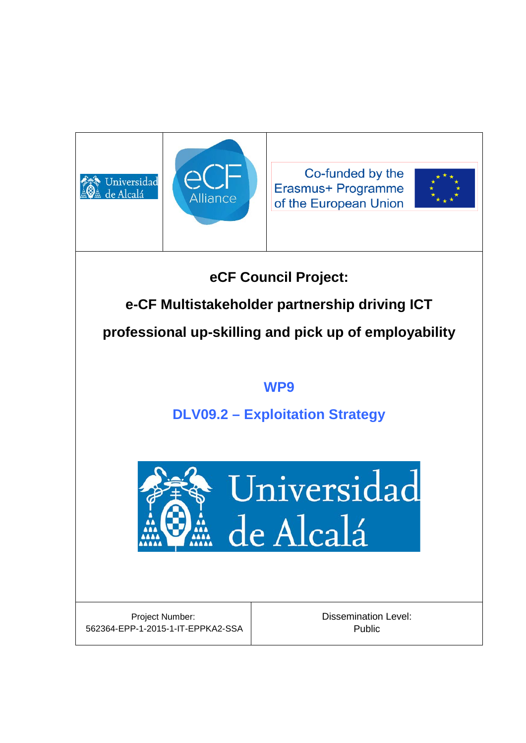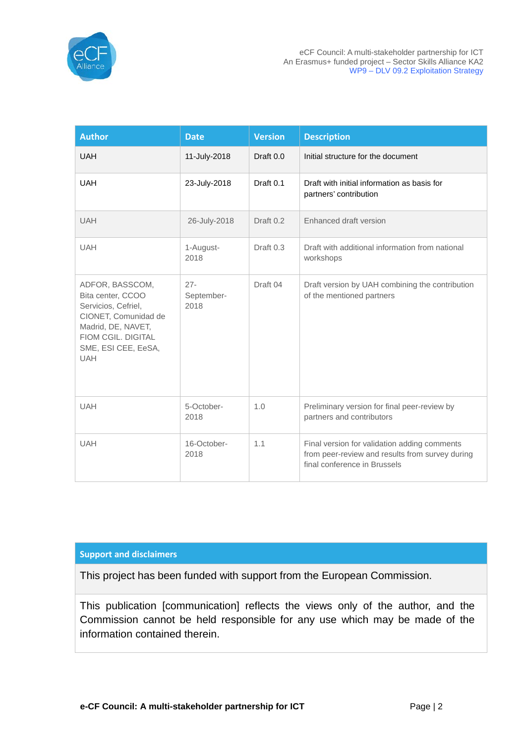

| <b>Author</b>                                                                                                                                                        | <b>Date</b>                  | <b>Version</b> | <b>Description</b>                                                                                                              |
|----------------------------------------------------------------------------------------------------------------------------------------------------------------------|------------------------------|----------------|---------------------------------------------------------------------------------------------------------------------------------|
| <b>UAH</b>                                                                                                                                                           | 11-July-2018                 | Draft 0.0      | Initial structure for the document                                                                                              |
| <b>UAH</b>                                                                                                                                                           | 23-July-2018                 | Draft 0.1      | Draft with initial information as basis for<br>partners' contribution                                                           |
| <b>UAH</b>                                                                                                                                                           | 26-July-2018                 | Draft 0.2      | Enhanced draft version                                                                                                          |
| <b>UAH</b>                                                                                                                                                           | 1-August-<br>2018            | Draft 0.3      | Draft with additional information from national<br>workshops                                                                    |
| ADFOR, BASSCOM,<br>Bita center, CCOO<br>Servicios, Cefriel,<br>CIONET, Comunidad de<br>Madrid, DE, NAVET,<br>FIOM CGIL. DIGITAL<br>SME, ESI CEE, EeSA,<br><b>UAH</b> | $27 -$<br>September-<br>2018 | Draft 04       | Draft version by UAH combining the contribution<br>of the mentioned partners                                                    |
| <b>UAH</b>                                                                                                                                                           | 5-October-<br>2018           | 1.0            | Preliminary version for final peer-review by<br>partners and contributors                                                       |
| <b>UAH</b>                                                                                                                                                           | 16-October-<br>2018          | 1.1            | Final version for validation adding comments<br>from peer-review and results from survey during<br>final conference in Brussels |

#### **Support and disclaimers**

This project has been funded with support from the European Commission.

This publication [communication] reflects the views only of the author, and the Commission cannot be held responsible for any use which may be made of the information contained therein.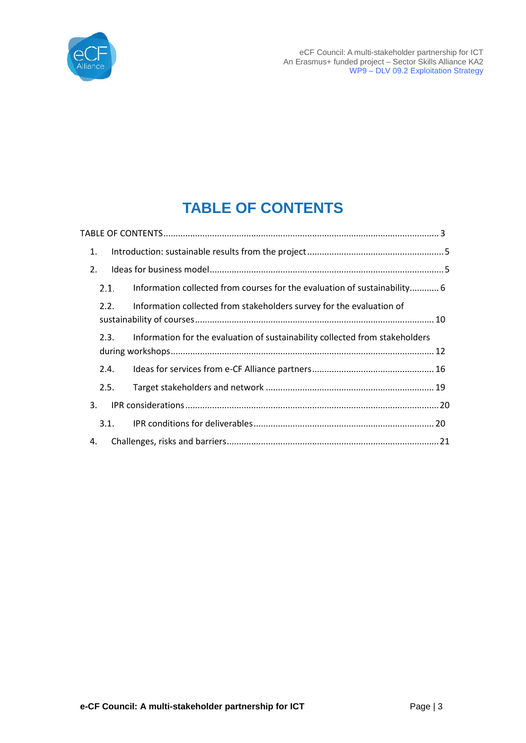

eCF Council: A multi-stakeholder partnership for ICT An Erasmus+ funded project – Sector Skills Alliance KA2 WP9 – DLV 09.2 Exploitation Strategy

# **TABLE OF CONTENTS**

| 1.   |                                                                              |  |
|------|------------------------------------------------------------------------------|--|
| 2.   |                                                                              |  |
| 2.1. | Information collected from courses for the evaluation of sustainability 6    |  |
| 2.2. | Information collected from stakeholders survey for the evaluation of         |  |
| 2.3. | Information for the evaluation of sustainability collected from stakeholders |  |
| 2.4. |                                                                              |  |
| 2.5. |                                                                              |  |
| 3.   |                                                                              |  |
| 3.1. |                                                                              |  |
| 4.   |                                                                              |  |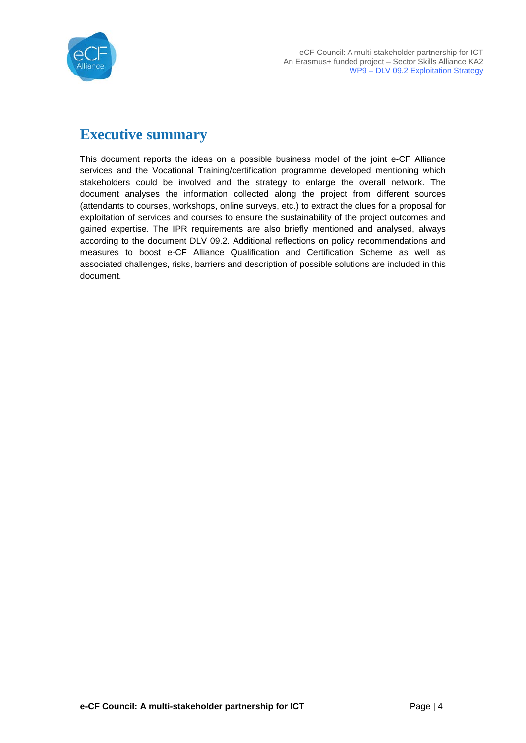

# **Executive summary**

This document reports the ideas on a possible business model of the joint e-CF Alliance services and the Vocational Training/certification programme developed mentioning which stakeholders could be involved and the strategy to enlarge the overall network. The document analyses the information collected along the project from different sources (attendants to courses, workshops, online surveys, etc.) to extract the clues for a proposal for exploitation of services and courses to ensure the sustainability of the project outcomes and gained expertise. The IPR requirements are also briefly mentioned and analysed, always according to the document DLV 09.2. Additional reflections on policy recommendations and measures to boost e-CF Alliance Qualification and Certification Scheme as well as associated challenges, risks, barriers and description of possible solutions are included in this document.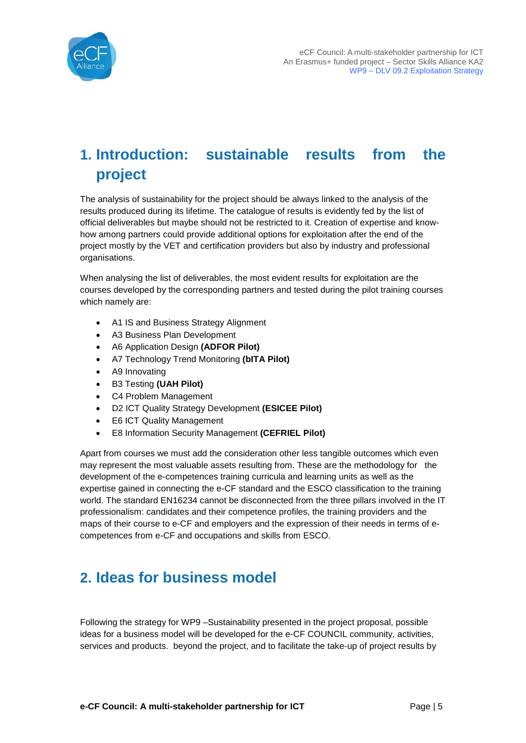

# **1. Introduction: sustainable results from the project**

The analysis of sustainability for the project should be always linked to the analysis of the results produced during its lifetime. The catalogue of results is evidently fed by the list of official deliverables but maybe should not be restricted to it. Creation of expertise and knowhow among partners could provide additional options for exploitation after the end of the project mostly by the VET and certification providers but also by industry and professional organisations.

When analysing the list of deliverables, the most evident results for exploitation are the courses developed by the corresponding partners and tested during the pilot training courses which namely are:

- A1 IS and Business Strategy Alignment
- A3 Business Plan Development
- A6 Application Design **(ADFOR Pilot)**
- A7 Technology Trend Monitoring **(bITA Pilot)**
- A9 Innovating
- B3 Testing **(UAH Pilot)**
- C4 Problem Management
- D2 ICT Quality Strategy Development **(ESICEE Pilot)**
- **E6 ICT Quality Management**
- E8 Information Security Management **(CEFRIEL Pilot)**

Apart from courses we must add the consideration other less tangible outcomes which even may represent the most valuable assets resulting from. These are the methodology for the development of the e-competences training curricula and learning units as well as the expertise gained in connecting the e-CF standard and the ESCO classification to the training world. The standard EN16234 cannot be disconnected from the three pillars involved in the IT professionalism: candidates and their competence profiles, the training providers and the maps of their course to e-CF and employers and the expression of their needs in terms of ecompetences from e-CF and occupations and skills from ESCO.

## **2. Ideas for business model**

Following the strategy for WP9 –Sustainability presented in the project proposal, possible ideas for a business model will be developed for the e-CF COUNCIL community, activities, services and products. beyond the project, and to facilitate the take-up of project results by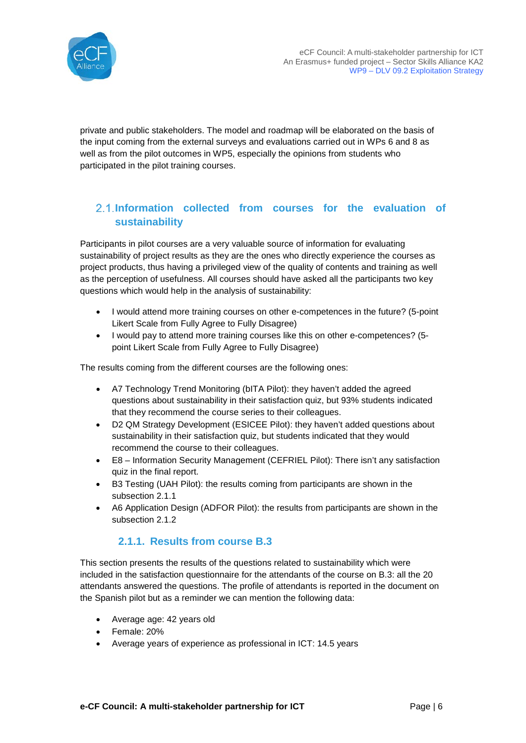

private and public stakeholders. The model and roadmap will be elaborated on the basis of the input coming from the external surveys and evaluations carried out in WPs 6 and 8 as well as from the pilot outcomes in WP5, especially the opinions from students who participated in the pilot training courses.

#### <span id="page-5-1"></span>**Information collected from courses for the evaluation of sustainability**

Participants in pilot courses are a very valuable source of information for evaluating sustainability of project results as they are the ones who directly experience the courses as project products, thus having a privileged view of the quality of contents and training as well as the perception of usefulness. All courses should have asked all the participants two key questions which would help in the analysis of sustainability:

- I would attend more training courses on other e-competences in the future? (5-point Likert Scale from Fully Agree to Fully Disagree)
- I would pay to attend more training courses like this on other e-competences? (5 point Likert Scale from Fully Agree to Fully Disagree)

The results coming from the different courses are the following ones:

- A7 Technology Trend Monitoring (bITA Pilot): they haven't added the agreed questions about sustainability in their satisfaction quiz, but 93% students indicated that they recommend the course series to their colleagues.
- D2 QM Strategy Development (ESICEE Pilot): they haven't added questions about sustainability in their satisfaction quiz, but students indicated that they would recommend the course to their colleagues.
- E8 Information Security Management (CEFRIEL Pilot): There isn't any satisfaction quiz in the final report.
- B3 Testing (UAH Pilot): the results coming from participants are shown in the subsection [2.1.1](#page-5-0)
- A6 Application Design (ADFOR Pilot): the results from participants are shown in the subsection [2.1.2](#page-7-0)

#### **2.1.1. Results from course B.3**

<span id="page-5-0"></span>This section presents the results of the questions related to sustainability which were included in the satisfaction questionnaire for the attendants of the course on B.3: all the 20 attendants answered the questions. The profile of attendants is reported in the document on the Spanish pilot but as a reminder we can mention the following data:

- Average age: 42 years old
- Female: 20%
- Average years of experience as professional in ICT: 14.5 years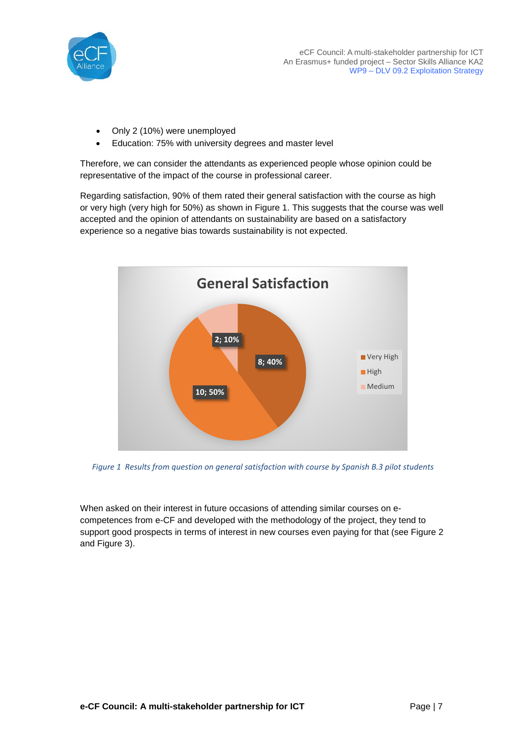

- Only 2 (10%) were unemployed
- Education: 75% with university degrees and master level

Therefore, we can consider the attendants as experienced people whose opinion could be representative of the impact of the course in professional career.

Regarding satisfaction, 90% of them rated their general satisfaction with the course as high or very high (very high for 50%) as shown in [Figure 1.](#page-6-0) This suggests that the course was well accepted and the opinion of attendants on sustainability are based on a satisfactory experience so a negative bias towards sustainability is not expected.



<span id="page-6-0"></span>*Figure 1 Results from question on general satisfaction with course by Spanish B.3 pilot students*

When asked on their interest in future occasions of attending similar courses on ecompetences from e-CF and developed with the methodology of the project, they tend to support good prospects in terms of interest in new courses even paying for that (see [Figure 2](#page-7-1) and [Figure 3\)](#page-7-2).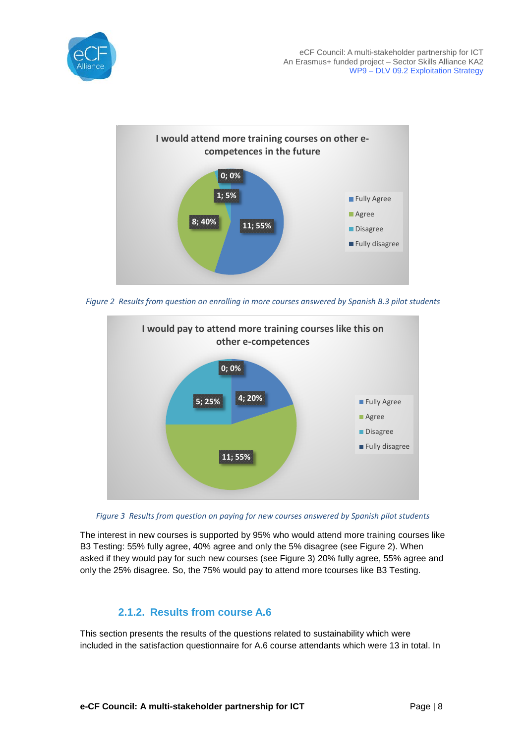



<span id="page-7-1"></span>*Figure 2 Results from question on enrolling in more courses answered by Spanish B.3 pilot students*



<span id="page-7-2"></span>*Figure 3 Results from question on paying for new courses answered by Spanish pilot students*

The interest in new courses is supported by 95% who would attend more training courses like B3 Testing: 55% fully agree, 40% agree and only the 5% disagree (see [Figure 2\)](#page-7-1). When asked if they would pay for such new courses (see [Figure 3\)](#page-7-2) 20% fully agree, 55% agree and only the 25% disagree. So, the 75% would pay to attend more tcourses like B3 Testing.

#### **2.1.2. Results from course A.6**

<span id="page-7-0"></span>This section presents the results of the questions related to sustainability which were included in the satisfaction questionnaire for A.6 course attendants which were 13 in total. In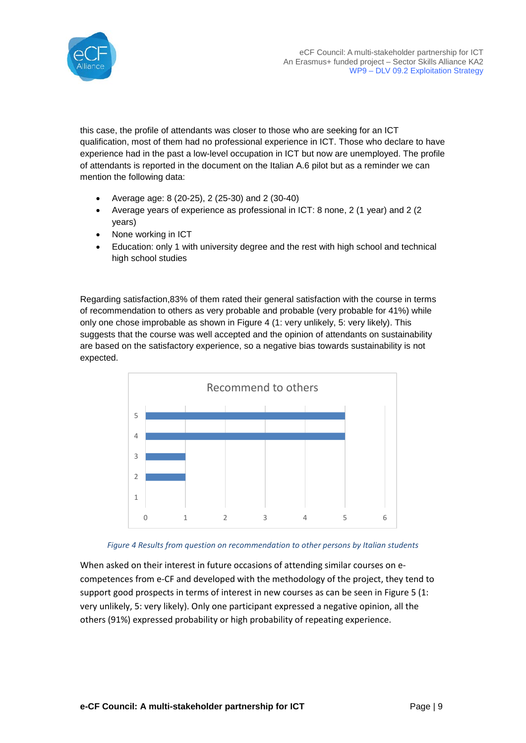



this case, the profile of attendants was closer to those who are seeking for an ICT qualification, most of them had no professional experience in ICT. Those who declare to have experience had in the past a low-level occupation in ICT but now are unemployed. The profile of attendants is reported in the document on the Italian A.6 pilot but as a reminder we can mention the following data:

- Average age: 8 (20-25), 2 (25-30) and 2 (30-40)
- Average years of experience as professional in ICT: 8 none, 2 (1 year) and 2 (2 years)
- None working in ICT
- Education: only 1 with university degree and the rest with high school and technical high school studies

Regarding satisfaction,83% of them rated their general satisfaction with the course in terms of recommendation to others as very probable and probable (very probable for 41%) while only one chose improbable as shown in [Figure 4](#page-8-0) (1: very unlikely, 5: very likely). This suggests that the course was well accepted and the opinion of attendants on sustainability are based on the satisfactory experience, so a negative bias towards sustainability is not expected.





<span id="page-8-0"></span>When asked on their interest in future occasions of attending similar courses on ecompetences from e-CF and developed with the methodology of the project, they tend to support good prospects in terms of interest in new courses as can be seen in [Figure 5](#page-9-0) (1: very unlikely, 5: very likely). Only one participant expressed a negative opinion, all the others (91%) expressed probability or high probability of repeating experience.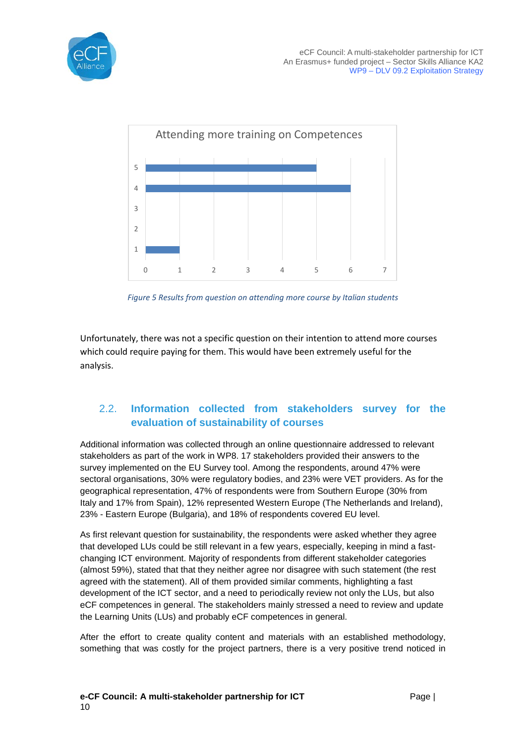



*Figure 5 Results from question on attending more course by Italian students*

<span id="page-9-0"></span>Unfortunately, there was not a specific question on their intention to attend more courses which could require paying for them. This would have been extremely useful for the analysis.

#### 2.2. **Information collected from stakeholders survey for the evaluation of sustainability of courses**

Additional information was collected through an online questionnaire addressed to relevant stakeholders as part of the work in WP8. 17 stakeholders provided their answers to the survey implemented on the EU Survey tool. Among the respondents, around 47% were sectoral organisations, 30% were regulatory bodies, and 23% were VET providers. As for the geographical representation, 47% of respondents were from Southern Europe (30% from Italy and 17% from Spain), 12% represented Western Europe (The Netherlands and Ireland), 23% - Eastern Europe (Bulgaria), and 18% of respondents covered EU level.

As first relevant question for sustainability, the respondents were asked whether they agree that developed LUs could be still relevant in a few years, especially, keeping in mind a fastchanging ICT environment. Majority of respondents from different stakeholder categories (almost 59%), stated that that they neither agree nor disagree with such statement (the rest agreed with the statement). All of them provided similar comments, highlighting a fast development of the ICT sector, and a need to periodically review not only the LUs, but also eCF competences in general. The stakeholders mainly stressed a need to review and update the Learning Units (LUs) and probably eCF competences in general.

After the effort to create quality content and materials with an established methodology, something that was costly for the project partners, there is a very positive trend noticed in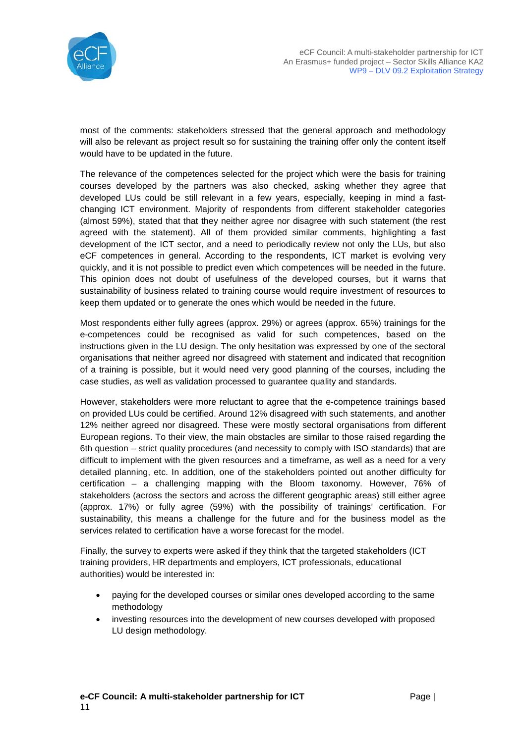

most of the comments: stakeholders stressed that the general approach and methodology will also be relevant as project result so for sustaining the training offer only the content itself would have to be updated in the future.

The relevance of the competences selected for the project which were the basis for training courses developed by the partners was also checked, asking whether they agree that developed LUs could be still relevant in a few years, especially, keeping in mind a fastchanging ICT environment. Majority of respondents from different stakeholder categories (almost 59%), stated that that they neither agree nor disagree with such statement (the rest agreed with the statement). All of them provided similar comments, highlighting a fast development of the ICT sector, and a need to periodically review not only the LUs, but also eCF competences in general. According to the respondents, ICT market is evolving very quickly, and it is not possible to predict even which competences will be needed in the future. This opinion does not doubt of usefulness of the developed courses, but it warns that sustainability of business related to training course would require investment of resources to keep them updated or to generate the ones which would be needed in the future.

Most respondents either fully agrees (approx. 29%) or agrees (approx. 65%) trainings for the e-competences could be recognised as valid for such competences, based on the instructions given in the LU design. The only hesitation was expressed by one of the sectoral organisations that neither agreed nor disagreed with statement and indicated that recognition of a training is possible, but it would need very good planning of the courses, including the case studies, as well as validation processed to guarantee quality and standards.

However, stakeholders were more reluctant to agree that the e-competence trainings based on provided LUs could be certified. Around 12% disagreed with such statements, and another 12% neither agreed nor disagreed. These were mostly sectoral organisations from different European regions. To their view, the main obstacles are similar to those raised regarding the 6th question – strict quality procedures (and necessity to comply with ISO standards) that are difficult to implement with the given resources and a timeframe, as well as a need for a very detailed planning, etc. In addition, one of the stakeholders pointed out another difficulty for certification – a challenging mapping with the Bloom taxonomy. However, 76% of stakeholders (across the sectors and across the different geographic areas) still either agree (approx. 17%) or fully agree (59%) with the possibility of trainings' certification. For sustainability, this means a challenge for the future and for the business model as the services related to certification have a worse forecast for the model.

Finally, the survey to experts were asked if they think that the targeted stakeholders (ICT training providers, HR departments and employers, ICT professionals, educational authorities) would be interested in:

- paying for the developed courses or similar ones developed according to the same methodology
- investing resources into the development of new courses developed with proposed LU design methodology.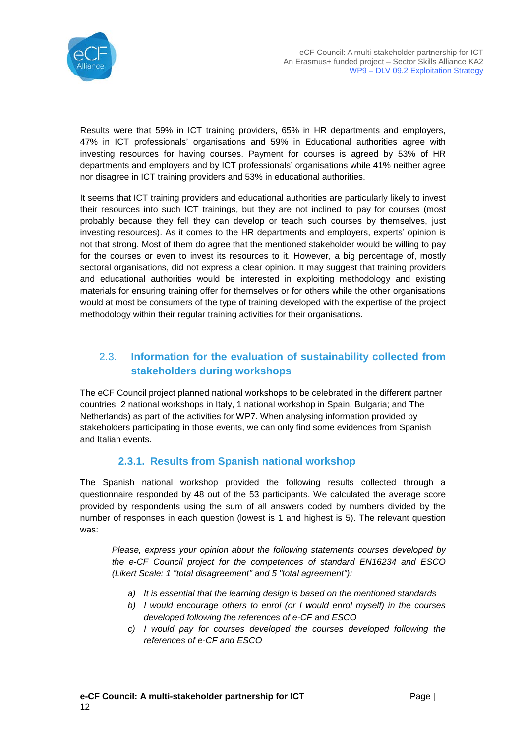

Results were that 59% in ICT training providers, 65% in HR departments and employers, 47% in ICT professionals' organisations and 59% in Educational authorities agree with investing resources for having courses. Payment for courses is agreed by 53% of HR departments and employers and by ICT professionals' organisations while 41% neither agree nor disagree in ICT training providers and 53% in educational authorities.

It seems that ICT training providers and educational authorities are particularly likely to invest their resources into such ICT trainings, but they are not inclined to pay for courses (most probably because they fell they can develop or teach such courses by themselves, just investing resources). As it comes to the HR departments and employers, experts' opinion is not that strong. Most of them do agree that the mentioned stakeholder would be willing to pay for the courses or even to invest its resources to it. However, a big percentage of, mostly sectoral organisations, did not express a clear opinion. It may suggest that training providers and educational authorities would be interested in exploiting methodology and existing materials for ensuring training offer for themselves or for others while the other organisations would at most be consumers of the type of training developed with the expertise of the project methodology within their regular training activities for their organisations.

### 2.3. **Information for the evaluation of sustainability collected from stakeholders during workshops**

The eCF Council project planned national workshops to be celebrated in the different partner countries: 2 national workshops in Italy, 1 national workshop in Spain, Bulgaria; and The Netherlands) as part of the activities for WP7. When analysing information provided by stakeholders participating in those events, we can only find some evidences from Spanish and Italian events.

#### **2.3.1. Results from Spanish national workshop**

The Spanish national workshop provided the following results collected through a questionnaire responded by 48 out of the 53 participants. We calculated the average score provided by respondents using the sum of all answers coded by numbers divided by the number of responses in each question (lowest is 1 and highest is 5). The relevant question was:

*Please, express your opinion about the following statements courses developed by the e-CF Council project for the competences of standard EN16234 and ESCO (Likert Scale: 1 "total disagreement" and 5 "total agreement"):*

- *a) It is essential that the learning design is based on the mentioned standards*
- *b) I would encourage others to enrol (or I would enrol myself) in the courses developed following the references of e-CF and ESCO*
- *c) I would pay for courses developed the courses developed following the references of e-CF and ESCO*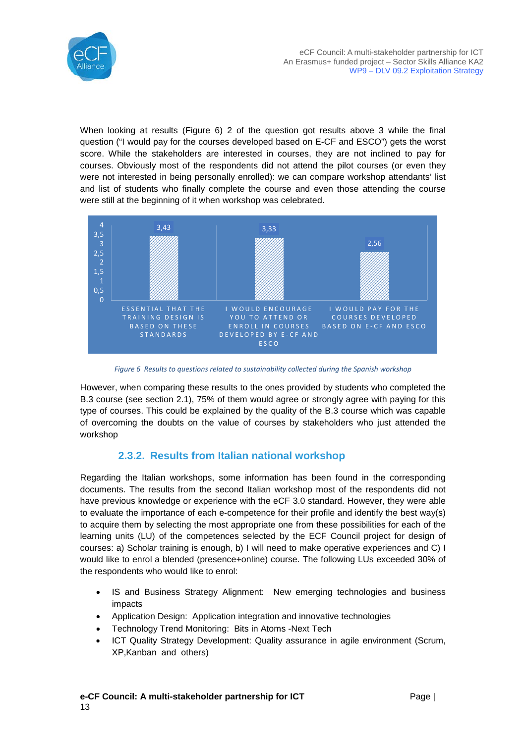

When looking at results [\(Figure 6\)](#page-12-0) 2 of the question got results above 3 while the final question ("I would pay for the courses developed based on E-CF and ESCO") gets the worst score. While the stakeholders are interested in courses, they are not inclined to pay for courses. Obviously most of the respondents did not attend the pilot courses (or even they were not interested in being personally enrolled): we can compare workshop attendants' list and list of students who finally complete the course and even those attending the course were still at the beginning of it when workshop was celebrated.



*Figure 6 Results to questions related to sustainability collected during the Spanish workshop*

<span id="page-12-0"></span>However, when comparing these results to the ones provided by students who completed the B.3 course (see section [2.1\)](#page-5-1), 75% of them would agree or strongly agree with paying for this type of courses. This could be explained by the quality of the B.3 course which was capable of overcoming the doubts on the value of courses by stakeholders who just attended the workshop

#### **2.3.2. Results from Italian national workshop**

Regarding the Italian workshops, some information has been found in the corresponding documents. The results from the second Italian workshop most of the respondents did not have previous knowledge or experience with the eCF 3.0 standard. However, they were able to evaluate the importance of each e-competence for their profile and identify the best way(s) to acquire them by selecting the most appropriate one from these possibilities for each of the learning units (LU) of the competences selected by the ECF Council project for design of courses: a) Scholar training is enough, b) I will need to make operative experiences and C) I would like to enrol a blended (presence+online) course. The following LUs exceeded 30% of the respondents who would like to enrol:

- IS and Business Strategy Alignment: New emerging technologies and business impacts
- Application Design: Application integration and innovative technologies
- Technology Trend Monitoring: Bits in Atoms -Next Tech
- ICT Quality Strategy Development: Quality assurance in agile environment (Scrum, XP,Kanban and others)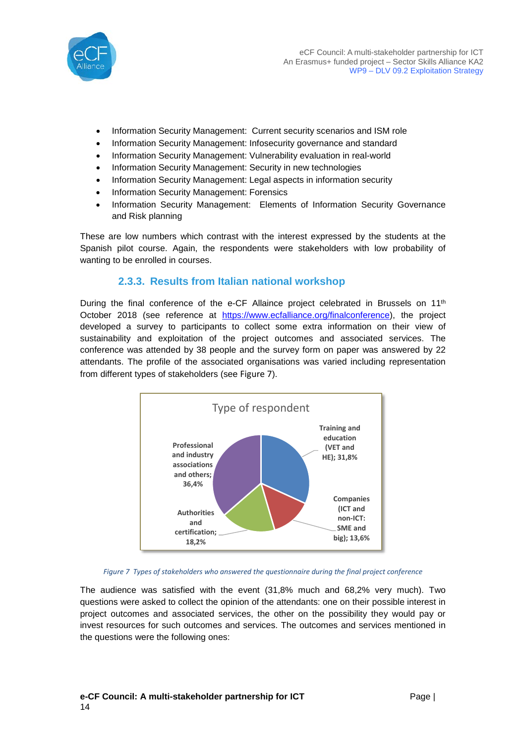

- Information Security Management: Current security scenarios and ISM role
- Information Security Management: Infosecurity governance and standard
- Information Security Management: Vulnerability evaluation in real-world
- Information Security Management: Security in new technologies
- Information Security Management: Legal aspects in information security
- Information Security Management: Forensics
- Information Security Management: Elements of Information Security Governance and Risk planning

These are low numbers which contrast with the interest expressed by the students at the Spanish pilot course. Again, the respondents were stakeholders with low probability of wanting to be enrolled in courses.

#### **2.3.3. Results from Italian national workshop**

During the final conference of the e-CF Allaince project celebrated in Brussels on 11<sup>th</sup> October 2018 (see reference at [https://www.ecfalliance.org/finalconference\)](https://www.ecfalliance.org/finalconference), the project developed a survey to participants to collect some extra information on their view of sustainability and exploitation of the project outcomes and associated services. The conference was attended by 38 people and the survey form on paper was answered by 22 attendants. The profile of the associated organisations was varied including representation from different types of stakeholders (see [Figure 7](#page-13-0)).



*Figure 7 Types of stakeholders who answered the questionnaire during the final project conference*

<span id="page-13-0"></span>The audience was satisfied with the event (31,8% much and 68,2% very much). Two questions were asked to collect the opinion of the attendants: one on their possible interest in project outcomes and associated services, the other on the possibility they would pay or invest resources for such outcomes and services. The outcomes and services mentioned in the questions were the following ones: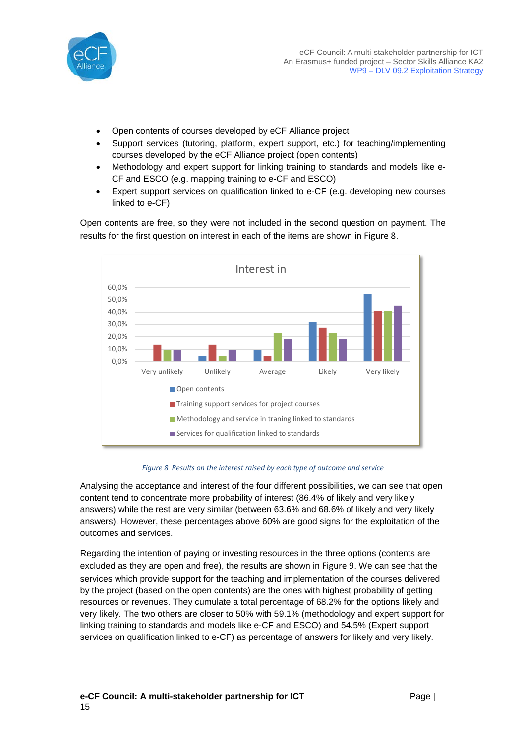

- Open contents of courses developed by eCF Alliance project
- Support services (tutoring, platform, expert support, etc.) for teaching/implementing courses developed by the eCF Alliance project (open contents)
- Methodology and expert support for linking training to standards and models like e-CF and ESCO (e.g. mapping training to e-CF and ESCO)
- Expert support services on qualification linked to e-CF (e.g. developing new courses linked to e-CF)

Open contents are free, so they were not included in the second question on payment. The results for the first question on interest in each of the items are shown in [Figure 8](#page-14-0).



#### *Figure 8 Results on the interest raised by each type of outcome and service*

<span id="page-14-0"></span>Analysing the acceptance and interest of the four different possibilities, we can see that open content tend to concentrate more probability of interest (86.4% of likely and very likely answers) while the rest are very similar (between 63.6% and 68.6% of likely and very likely answers). However, these percentages above 60% are good signs for the exploitation of the outcomes and services.

Regarding the intention of paying or investing resources in the three options (contents are excluded as they are open and free), the results are shown in [Figure 9](#page-15-0). We can see that the services which provide support for the teaching and implementation of the courses delivered by the project (based on the open contents) are the ones with highest probability of getting resources or revenues. They cumulate a total percentage of 68.2% for the options likely and very likely. The two others are closer to 50% with 59.1% (methodology and expert support for linking training to standards and models like e-CF and ESCO) and 54.5% (Expert support services on qualification linked to e-CF) as percentage of answers for likely and very likely.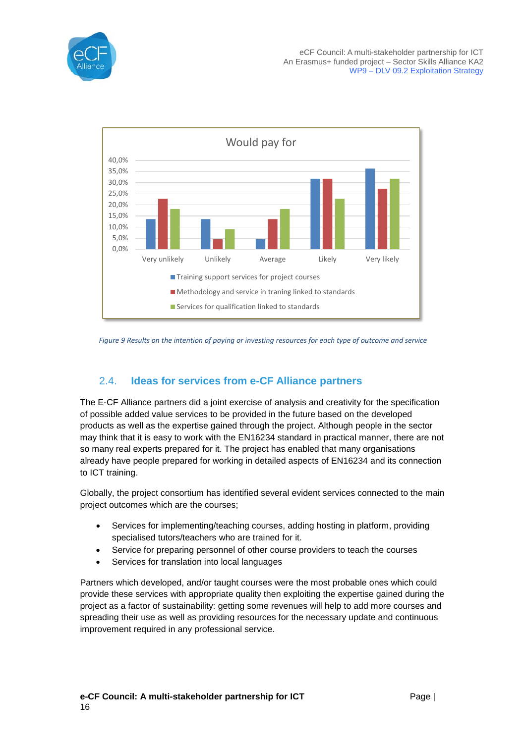



<span id="page-15-0"></span>*Figure 9 Results on the intention of paying or investing resources for each type of outcome and service*

### <span id="page-15-1"></span>2.4. **Ideas for services from e-CF Alliance partners**

The E-CF Alliance partners did a joint exercise of analysis and creativity for the specification of possible added value services to be provided in the future based on the developed products as well as the expertise gained through the project. Although people in the sector may think that it is easy to work with the EN16234 standard in practical manner, there are not so many real experts prepared for it. The project has enabled that many organisations already have people prepared for working in detailed aspects of EN16234 and its connection to ICT training.

Globally, the project consortium has identified several evident services connected to the main project outcomes which are the courses;

- Services for implementing/teaching courses, adding hosting in platform, providing specialised tutors/teachers who are trained for it.
- Service for preparing personnel of other course providers to teach the courses
- Services for translation into local languages

Partners which developed, and/or taught courses were the most probable ones which could provide these services with appropriate quality then exploiting the expertise gained during the project as a factor of sustainability: getting some revenues will help to add more courses and spreading their use as well as providing resources for the necessary update and continuous improvement required in any professional service.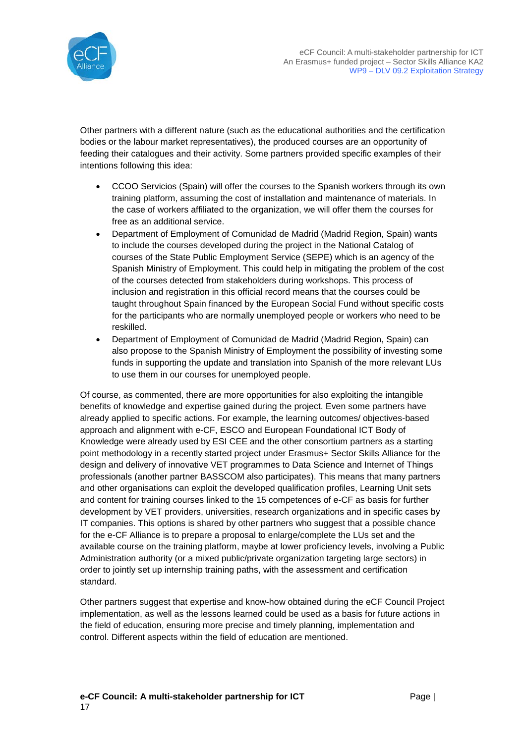

Other partners with a different nature (such as the educational authorities and the certification bodies or the labour market representatives), the produced courses are an opportunity of feeding their catalogues and their activity. Some partners provided specific examples of their intentions following this idea:

- CCOO Servicios (Spain) will offer the courses to the Spanish workers through its own training platform, assuming the cost of installation and maintenance of materials. In the case of workers affiliated to the organization, we will offer them the courses for free as an additional service.
- Department of Employment of Comunidad de Madrid (Madrid Region, Spain) wants to include the courses developed during the project in the National Catalog of courses of the State Public Employment Service (SEPE) which is an agency of the Spanish Ministry of Employment. This could help in mitigating the problem of the cost of the courses detected from stakeholders during workshops. This process of inclusion and registration in this official record means that the courses could be taught throughout Spain financed by the European Social Fund without specific costs for the participants who are normally unemployed people or workers who need to be reskilled.
- Department of Employment of Comunidad de Madrid (Madrid Region, Spain) can also propose to the Spanish Ministry of Employment the possibility of investing some funds in supporting the update and translation into Spanish of the more relevant LUs to use them in our courses for unemployed people.

Of course, as commented, there are more opportunities for also exploiting the intangible benefits of knowledge and expertise gained during the project. Even some partners have already applied to specific actions. For example, the learning outcomes/ objectives-based approach and alignment with e-CF, ESCO and European Foundational ICT Body of Knowledge were already used by ESI CEE and the other consortium partners as a starting point methodology in a recently started project under Erasmus+ Sector Skills Alliance for the design and delivery of innovative VET programmes to Data Science and Internet of Things professionals (another partner BASSCOM also participates). This means that many partners and other organisations can exploit the developed qualification profiles, Learning Unit sets and content for training courses linked to the 15 competences of e-CF as basis for further development by VET providers, universities, research organizations and in specific cases by IT companies. This options is shared by other partners who suggest that a possible chance for the e-CF Alliance is to prepare a proposal to enlarge/complete the LUs set and the available course on the training platform, maybe at lower proficiency levels, involving a Public Administration authority (or a mixed public/private organization targeting large sectors) in order to jointly set up internship training paths, with the assessment and certification standard.

Other partners suggest that expertise and know-how obtained during the eCF Council Project implementation, as well as the lessons learned could be used as a basis for future actions in the field of education, ensuring more precise and timely planning, implementation and control. Different aspects within the field of education are mentioned.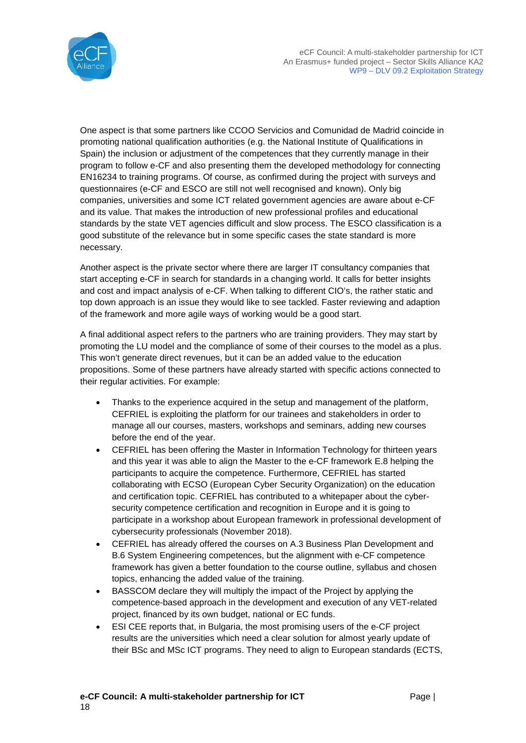

One aspect is that some partners like CCOO Servicios and Comunidad de Madrid coincide in promoting national qualification authorities (e.g. the National Institute of Qualifications in Spain) the inclusion or adjustment of the competences that they currently manage in their program to follow e-CF and also presenting them the developed methodology for connecting EN16234 to training programs. Of course, as confirmed during the project with surveys and questionnaires (e-CF and ESCO are still not well recognised and known). Only big companies, universities and some ICT related government agencies are aware about e-CF and its value. That makes the introduction of new professional profiles and educational standards by the state VET agencies difficult and slow process. The ESCO classification is a good substitute of the relevance but in some specific cases the state standard is more necessary.

Another aspect is the private sector where there are larger IT consultancy companies that start accepting e-CF in search for standards in a changing world. It calls for better insights and cost and impact analysis of e-CF. When talking to different CIO's, the rather static and top down approach is an issue they would like to see tackled. Faster reviewing and adaption of the framework and more agile ways of working would be a good start.

A final additional aspect refers to the partners who are training providers. They may start by promoting the LU model and the compliance of some of their courses to the model as a plus. This won't generate direct revenues, but it can be an added value to the education propositions. Some of these partners have already started with specific actions connected to their regular activities. For example:

- Thanks to the experience acquired in the setup and management of the platform, CEFRIEL is exploiting the platform for our trainees and stakeholders in order to manage all our courses, masters, workshops and seminars, adding new courses before the end of the year.
- CEFRIEL has been offering the Master in Information Technology for thirteen years and this year it was able to align the Master to the e-CF framework E.8 helping the participants to acquire the competence. Furthermore, CEFRIEL has started collaborating with ECSO (European Cyber Security Organization) on the education and certification topic. CEFRIEL has contributed to a whitepaper about the cybersecurity competence certification and recognition in Europe and it is going to participate in a workshop about European framework in professional development of cybersecurity professionals (November 2018).
- CEFRIEL has already offered the courses on A.3 Business Plan Development and B.6 System Engineering competences, but the alignment with e-CF competence framework has given a better foundation to the course outline, syllabus and chosen topics, enhancing the added value of the training.
- BASSCOM declare they will multiply the impact of the Project by applying the competence-based approach in the development and execution of any VET-related project, financed by its own budget, national or EC funds.
- ESI CEE reports that, in Bulgaria, the most promising users of the e-CF project results are the universities which need a clear solution for almost yearly update of their BSc and MSc ICT programs. They need to align to European standards (ECTS,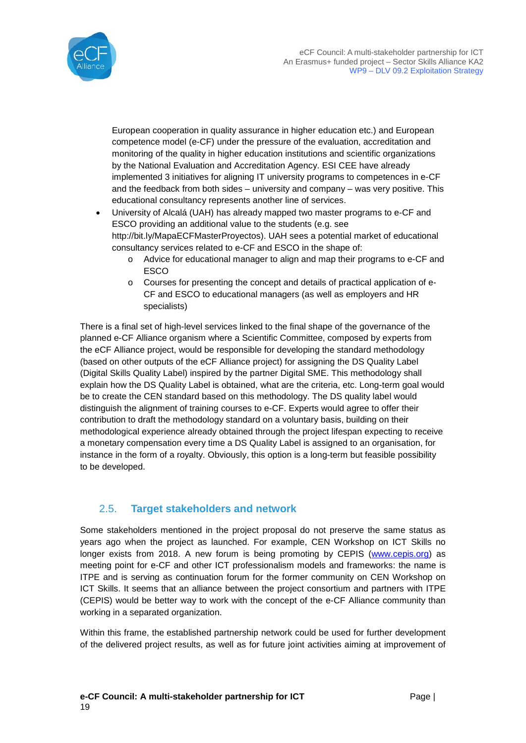

European cooperation in quality assurance in higher education etc.) and European competence model (e-CF) under the pressure of the evaluation, accreditation and monitoring of the quality in higher education institutions and scientific organizations by the National Evaluation and Accreditation Agency. ESI CEE have already implemented 3 initiatives for aligning IT university programs to competences in e-CF and the feedback from both sides – university and company – was very positive. This educational consultancy represents another line of services.

- University of Alcalá (UAH) has already mapped two master programs to e-CF and ESCO providing an additional value to the students (e.g. see http://bit.ly/MapaECFMasterProyectos). UAH sees a potential market of educational consultancy services related to e-CF and ESCO in the shape of:
	- o Advice for educational manager to align and map their programs to e-CF and ESCO
	- o Courses for presenting the concept and details of practical application of e-CF and ESCO to educational managers (as well as employers and HR specialists)

There is a final set of high-level services linked to the final shape of the governance of the planned e-CF Alliance organism where a Scientific Committee, composed by experts from the eCF Alliance project, would be responsible for developing the standard methodology (based on other outputs of the eCF Alliance project) for assigning the DS Quality Label (Digital Skills Quality Label) inspired by the partner Digital SME. This methodology shall explain how the DS Quality Label is obtained, what are the criteria, etc. Long-term goal would be to create the CEN standard based on this methodology. The DS quality label would distinguish the alignment of training courses to e-CF. Experts would agree to offer their contribution to draft the methodology standard on a voluntary basis, building on their methodological experience already obtained through the project lifespan expecting to receive a monetary compensation every time a DS Quality Label is assigned to an organisation, for instance in the form of a royalty. Obviously, this option is a long-term but feasible possibility to be developed.

#### 2.5. **Target stakeholders and network**

Some stakeholders mentioned in the project proposal do not preserve the same status as years ago when the project as launched. For example, CEN Workshop on ICT Skills no longer exists from 2018. A new forum is being promoting by CEPIS [\(www.cepis.org\)](http://www.cepis.org/) as meeting point for e-CF and other ICT professionalism models and frameworks: the name is ITPE and is serving as continuation forum for the former community on CEN Workshop on ICT Skills. It seems that an alliance between the project consortium and partners with ITPE (CEPIS) would be better way to work with the concept of the e-CF Alliance community than working in a separated organization.

Within this frame, the established partnership network could be used for further development of the delivered project results, as well as for future joint activities aiming at improvement of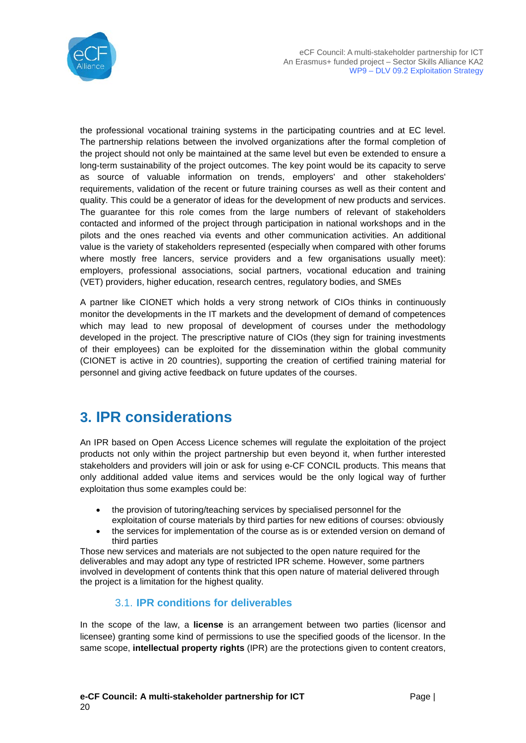

the professional vocational training systems in the participating countries and at EC level. The partnership relations between the involved organizations after the formal completion of the project should not only be maintained at the same level but even be extended to ensure a long-term sustainability of the project outcomes. The key point would be its capacity to serve as source of valuable information on trends, employers' and other stakeholders' requirements, validation of the recent or future training courses as well as their content and quality. This could be a generator of ideas for the development of new products and services. The guarantee for this role comes from the large numbers of relevant of stakeholders contacted and informed of the project through participation in national workshops and in the pilots and the ones reached via events and other communication activities. An additional value is the variety of stakeholders represented (especially when compared with other forums where mostly free lancers, service providers and a few organisations usually meet): employers, professional associations, social partners, vocational education and training (VET) providers, higher education, research centres, regulatory bodies, and SMEs

A partner like CIONET which holds a very strong network of CIOs thinks in continuously monitor the developments in the IT markets and the development of demand of competences which may lead to new proposal of development of courses under the methodology developed in the project. The prescriptive nature of CIOs (they sign for training investments of their employees) can be exploited for the dissemination within the global community (CIONET is active in 20 countries), supporting the creation of certified training material for personnel and giving active feedback on future updates of the courses.

# **3. IPR considerations**

An IPR based on Open Access Licence schemes will regulate the exploitation of the project products not only within the project partnership but even beyond it, when further interested stakeholders and providers will join or ask for using e-CF CONCIL products. This means that only additional added value items and services would be the only logical way of further exploitation thus some examples could be:

- the provision of tutoring/teaching services by specialised personnel for the exploitation of course materials by third parties for new editions of courses: obviously
- the services for implementation of the course as is or extended version on demand of third parties

Those new services and materials are not subjected to the open nature required for the deliverables and may adopt any type of restricted IPR scheme. However, some partners involved in development of contents think that this open nature of material delivered through the project is a limitation for the highest quality.

#### 3.1. **IPR conditions for deliverables**

In the scope of the law, a **license** is an arrangement between two parties (licensor and licensee) granting some kind of permissions to use the specified goods of the licensor. In the same scope, **intellectual property rights** (IPR) are the protections given to content creators,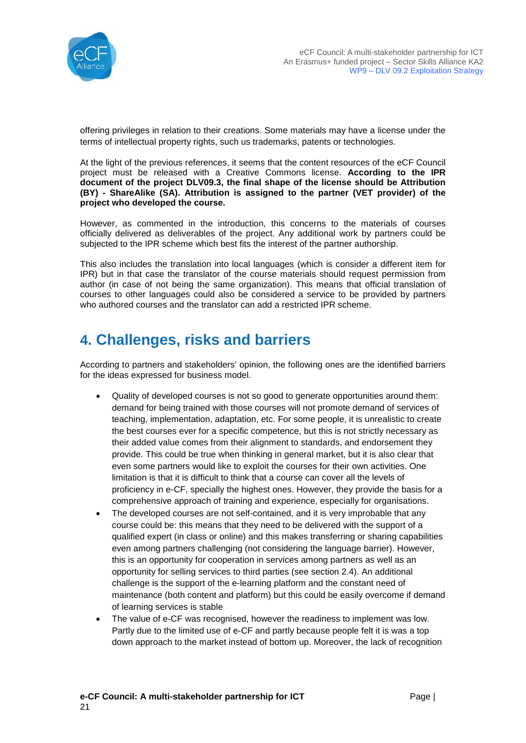

offering privileges in relation to their creations. Some materials may have a license under the terms of intellectual property rights, such us trademarks, patents or technologies.

At the light of the previous references, it seems that the content resources of the eCF Council project must be released with a Creative Commons license. **According to the IPR document of the project DLV09.3, the final shape of the license should be Attribution (BY) - ShareAlike (SA). Attribution is assigned to the partner (VET provider) of the project who developed the course.**

However, as commented in the introduction, this concerns to the materials of courses officially delivered as deliverables of the project. Any additional work by partners could be subjected to the IPR scheme which best fits the interest of the partner authorship.

This also includes the translation into local languages (which is consider a different item for IPR) but in that case the translator of the course materials should request permission from author (in case of not being the same organization). This means that official translation of courses to other languages could also be considered a service to be provided by partners who authored courses and the translator can add a restricted IPR scheme.

# **4. Challenges, risks and barriers**

According to partners and stakeholders' opinion, the following ones are the identified barriers for the ideas expressed for business model.

- Quality of developed courses is not so good to generate opportunities around them: demand for being trained with those courses will not promote demand of services of teaching, implementation, adaptation, etc. For some people, it is unrealistic to create the best courses ever for a specific competence, but this is not strictly necessary as their added value comes from their alignment to standards, and endorsement they provide. This could be true when thinking in general market, but it is also clear that even some partners would like to exploit the courses for their own activities. One limitation is that it is difficult to think that a course can cover all the levels of proficiency in e-CF, specially the highest ones. However, they provide the basis for a comprehensive approach of training and experience, especially for organisations.
- The developed courses are not self-contained, and it is very improbable that any course could be: this means that they need to be delivered with the support of a qualified expert (in class or online) and this makes transferring or sharing capabilities even among partners challenging (not considering the language barrier). However, this is an opportunity for cooperation in services among partners as well as an opportunity for selling services to third parties (see section [2.4\)](#page-15-1). An additional challenge is the support of the e-learning platform and the constant need of maintenance (both content and platform) but this could be easily overcome if demand of learning services is stable
- The value of e-CF was recognised, however the readiness to implement was low. Partly due to the limited use of e-CF and partly because people felt it is was a top down approach to the market instead of bottom up. Moreover, the lack of recognition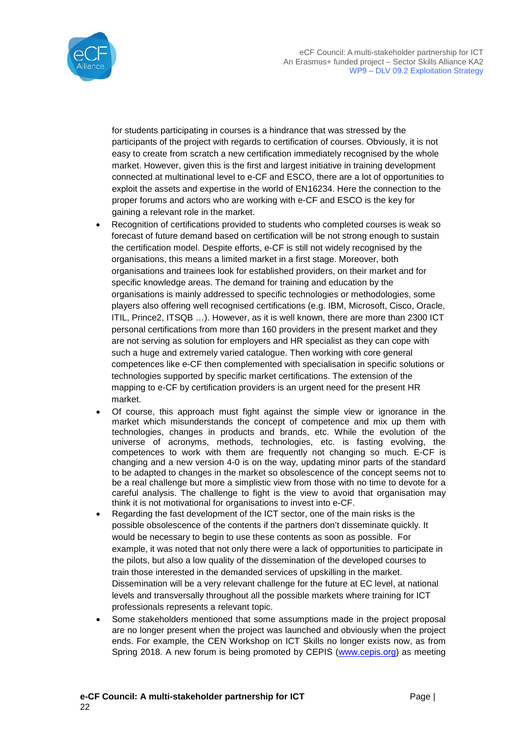

for students participating in courses is a hindrance that was stressed by the participants of the project with regards to certification of courses. Obviously, it is not easy to create from scratch a new certification immediately recognised by the whole market. However, given this is the first and largest initiative in training development connected at multinational level to e-CF and ESCO, there are a lot of opportunities to exploit the assets and expertise in the world of EN16234. Here the connection to the proper forums and actors who are working with e-CF and ESCO is the key for gaining a relevant role in the market.

- Recognition of certifications provided to students who completed courses is weak so forecast of future demand based on certification will be not strong enough to sustain the certification model. Despite efforts, e-CF is still not widely recognised by the organisations, this means a limited market in a first stage. Moreover, both organisations and trainees look for established providers, on their market and for specific knowledge areas. The demand for training and education by the organisations is mainly addressed to specific technologies or methodologies, some players also offering well recognised certifications (e.g. IBM, Microsoft, Cisco, Oracle, ITIL, Prince2, ITSQB …). However, as it is well known, there are more than 2300 ICT personal certifications from more than 160 providers in the present market and they are not serving as solution for employers and HR specialist as they can cope with such a huge and extremely varied catalogue. Then working with core general competences like e-CF then complemented with specialisation in specific solutions or technologies supported by specific market certifications. The extension of the mapping to e-CF by certification providers is an urgent need for the present HR market.
- Of course, this approach must fight against the simple view or ignorance in the market which misunderstands the concept of competence and mix up them with technologies, changes in products and brands, etc. While the evolution of the universe of acronyms, methods, technologies, etc. is fasting evolving, the competences to work with them are frequently not changing so much. E-CF is changing and a new version 4-0 is on the way, updating minor parts of the standard to be adapted to changes in the market so obsolescence of the concept seems not to be a real challenge but more a simplistic view from those with no time to devote for a careful analysis. The challenge to fight is the view to avoid that organisation may think it is not motivational for organisations to invest into e-CF.
- Regarding the fast development of the ICT sector, one of the main risks is the possible obsolescence of the contents if the partners don't disseminate quickly. It would be necessary to begin to use these contents as soon as possible. For example, it was noted that not only there were a lack of opportunities to participate in the pilots, but also a low quality of the dissemination of the developed courses to train those interested in the demanded services of upskilling in the market. Dissemination will be a very relevant challenge for the future at EC level, at national levels and transversally throughout all the possible markets where training for ICT professionals represents a relevant topic.
- Some stakeholders mentioned that some assumptions made in the project proposal are no longer present when the project was launched and obviously when the project ends. For example, the CEN Workshop on ICT Skills no longer exists now, as from Spring 2018. A new forum is being promoted by CEPIS [\(www.cepis.org\)](http://www.cepis.org/) as meeting